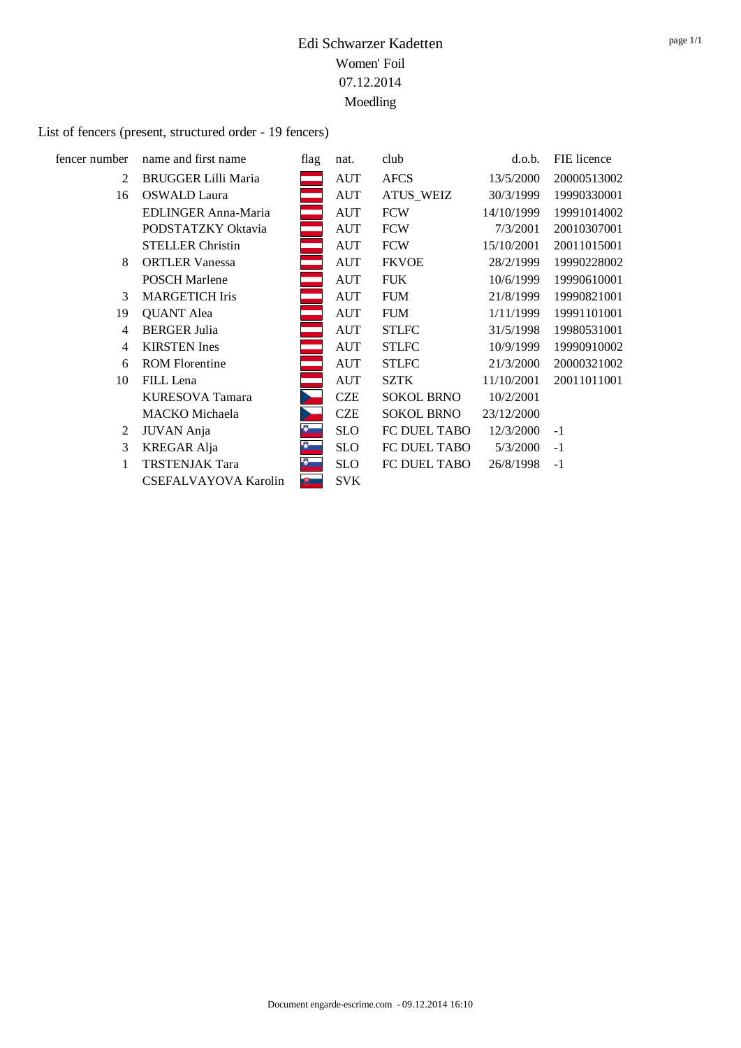### List of fencers (present, structured order - 19 fencers)

| fencer number | name and first name        | flag | nat.       | club              | d.o.b.     | FIE licence |
|---------------|----------------------------|------|------------|-------------------|------------|-------------|
| 2             | <b>BRUGGER Lilli Maria</b> |      | <b>AUT</b> | <b>AFCS</b>       | 13/5/2000  | 20000513002 |
| 16            | <b>OSWALD Laura</b>        |      | <b>AUT</b> | ATUS_WEIZ         | 30/3/1999  | 19990330001 |
|               | <b>EDLINGER Anna-Maria</b> |      | AUT        | <b>FCW</b>        | 14/10/1999 | 19991014002 |
|               | PODSTATZKY Oktavia         |      | <b>AUT</b> | <b>FCW</b>        | 7/3/2001   | 20010307001 |
|               | <b>STELLER Christin</b>    |      | AUT        | <b>FCW</b>        | 15/10/2001 | 20011015001 |
| 8             | <b>ORTLER Vanessa</b>      |      | <b>AUT</b> | <b>FKVOE</b>      | 28/2/1999  | 19990228002 |
|               | <b>POSCH Marlene</b>       |      | <b>AUT</b> | <b>FUK</b>        | 10/6/1999  | 19990610001 |
| 3             | <b>MARGETICH Iris</b>      |      | <b>AUT</b> | <b>FUM</b>        | 21/8/1999  | 19990821001 |
| 19            | <b>QUANT</b> Alea          |      | <b>AUT</b> | <b>FUM</b>        | 1/11/1999  | 19991101001 |
| 4             | <b>BERGER Julia</b>        |      | AUT        | <b>STLFC</b>      | 31/5/1998  | 19980531001 |
| 4             | <b>KIRSTEN</b> Ines        |      | <b>AUT</b> | <b>STLFC</b>      | 10/9/1999  | 19990910002 |
| 6             | <b>ROM</b> Florentine      |      | <b>AUT</b> | <b>STLFC</b>      | 21/3/2000  | 20000321002 |
| 10            | FILL Lena                  |      | <b>AUT</b> | SZTK              | 11/10/2001 | 20011011001 |
|               | KURESOVA Tamara            |      | <b>CZE</b> | <b>SOKOL BRNO</b> | 10/2/2001  |             |
|               | <b>MACKO</b> Michaela      |      | <b>CZE</b> | <b>SOKOL BRNO</b> | 23/12/2000 |             |
| 2             | JUVAN Anja                 |      | <b>SLO</b> | FC DUEL TABO      | 12/3/2000  | $-1$        |
| 3             | <b>KREGAR Alja</b>         |      | <b>SLO</b> | FC DUEL TABO      | 5/3/2000   | $-1$        |
| 1             | <b>TRSTENJAK Tara</b>      |      | <b>SLO</b> | FC DUEL TABO      | 26/8/1998  | $-1$        |
|               | CSEFALVAYOVA Karolin       | 博士   | <b>SVK</b> |                   |            |             |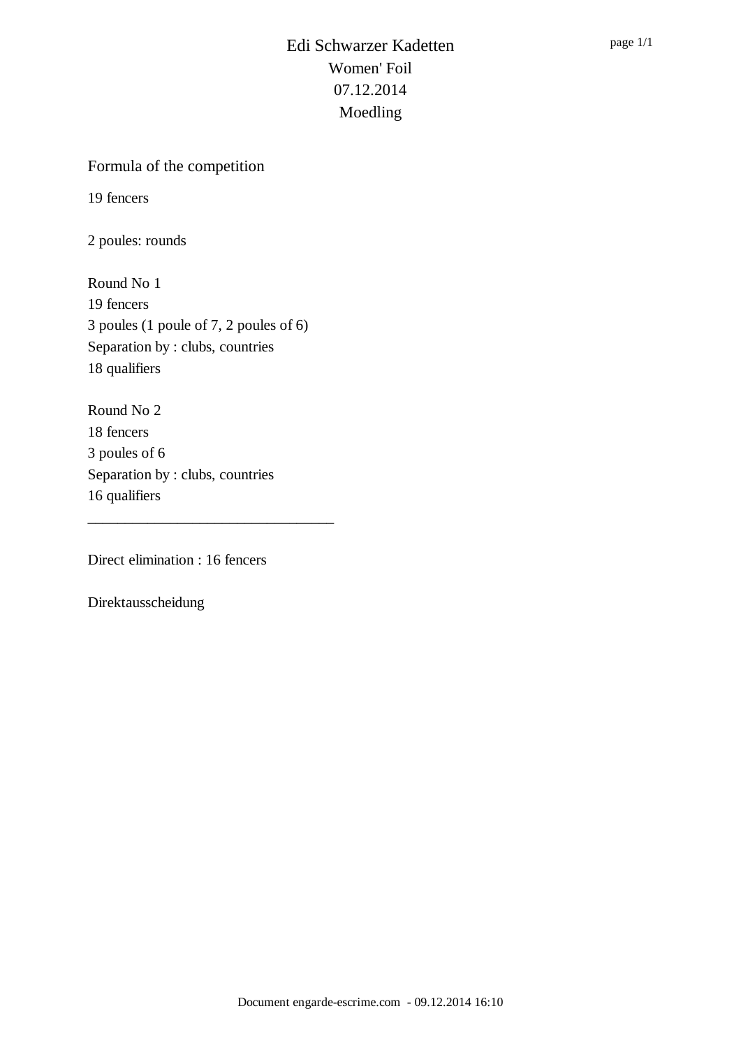### Formula of the competition

19 fencers

2 poules: rounds

Round No 1 19 fencers 3 poules (1 poule of 7, 2 poules of 6) Separation by : clubs, countries 18 qualifiers

Round No 2 18 fencers 3 poules of 6 Separation by : clubs, countries 16 qualifiers

\_\_\_\_\_\_\_\_\_\_\_\_\_\_\_\_\_\_\_\_\_\_\_\_\_\_\_\_\_\_\_\_\_

Direct elimination : 16 fencers

Direktausscheidung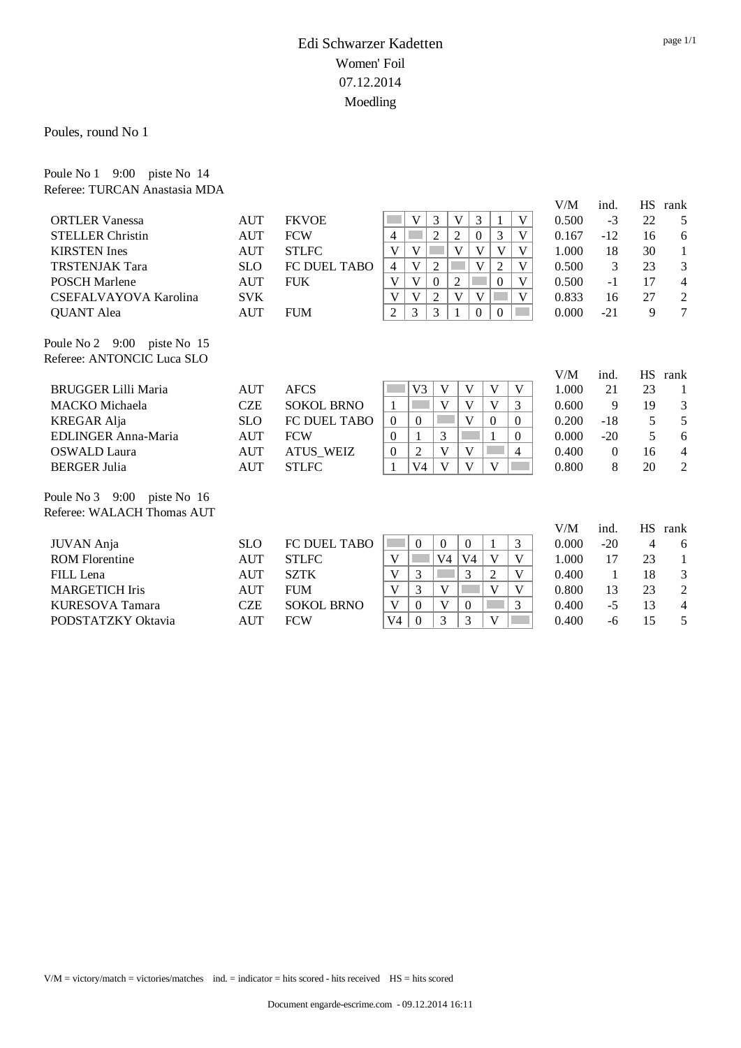Poules, round No 1

Poule No 1 9:00 piste No 14 Referee: TURCAN Anastasia MDA

|                                  |            |                   |                |                  |                  |                |                |                |          | V/M   | ind.         | <b>HS</b> | rank                     |
|----------------------------------|------------|-------------------|----------------|------------------|------------------|----------------|----------------|----------------|----------|-------|--------------|-----------|--------------------------|
| <b>ORTLER Vanessa</b>            | <b>AUT</b> | <b>FKVOE</b>      |                | V                | 3                | V              | 3              | 1              | V        | 0.500 | $-3$         | 22        | 5                        |
| <b>STELLER Christin</b>          | <b>AUT</b> | <b>FCW</b>        | $\overline{4}$ |                  | $\overline{2}$   | $\overline{c}$ | $\theta$       | 3              | V        | 0.167 | $-12$        | 16        | 6                        |
| <b>KIRSTEN</b> Ines              | <b>AUT</b> | <b>STLFC</b>      | V              | V                |                  | V              | V              | V              | V        | 1.000 | 18           | 30        | 1                        |
| <b>TRSTENJAK Tara</b>            | <b>SLO</b> | FC DUEL TABO      | $\overline{4}$ | V                | $\overline{2}$   |                | V              | 2              | V        | 0.500 | 3            | 23        | 3                        |
| <b>POSCH Marlene</b>             | <b>AUT</b> | <b>FUK</b>        | V              | V                | $\mathbf{0}$     | $\overline{2}$ |                | $\Omega$       | V        | 0.500 | $-1$         | 17        | $\overline{4}$           |
| CSEFALVAYOVA Karolina            | <b>SVK</b> |                   | V              | V                | $\overline{2}$   | V              | V              |                | V        | 0.833 | 16           | 27        | $\overline{c}$           |
| <b>QUANT</b> Alea                | <b>AUT</b> | <b>FUM</b>        | $\overline{2}$ | 3                | 3                |                | $\theta$       | $\Omega$       |          | 0.000 | $-21$        | 9         | $\overline{7}$           |
| Poule No 2 9:00 piste No 15      |            |                   |                |                  |                  |                |                |                |          |       |              |           |                          |
| Referee: ANTONCIC Luca SLO       |            |                   |                |                  |                  |                |                |                |          |       |              |           |                          |
|                                  |            |                   |                |                  |                  |                |                |                |          | V/M   | ind.         | <b>HS</b> | rank                     |
| <b>BRUGGER Lilli Maria</b>       | <b>AUT</b> | <b>AFCS</b>       |                | V <sub>3</sub>   | V                |                | V              | V              | V        | 1.000 | 21           | 23        | 1                        |
| <b>MACKO</b> Michaela            | <b>CZE</b> | <b>SOKOL BRNO</b> | $\mathbf{1}$   |                  | V                |                | V              | V              | 3        | 0.600 | 9            | 19        | 3                        |
| <b>KREGAR Alja</b>               | <b>SLO</b> | FC DUEL TABO      | $\mathbf{0}$   | $\theta$         |                  |                | V              | $\Omega$       | $\Omega$ | 0.200 | $-18$        | 5         | 5                        |
| <b>EDLINGER Anna-Maria</b>       | <b>AUT</b> | <b>FCW</b>        | $\Omega$       | 1                | 3                |                |                | 1              | $\Omega$ | 0.000 | $-20$        | 5         | 6                        |
| <b>OSWALD</b> Laura              | <b>AUT</b> | <b>ATUS WEIZ</b>  | $\overline{0}$ | $\overline{2}$   | V                |                | V              |                | 4        | 0.400 | $\mathbf{0}$ | 16        | $\overline{\mathcal{A}}$ |
| <b>BERGER Julia</b>              | <b>AUT</b> | <b>STLFC</b>      | $\mathbf{1}$   | V4               | V                |                | V              | V              |          | 0.800 | 8            | 20        | 2                        |
| Poule No $3$ 9:00<br>piste No 16 |            |                   |                |                  |                  |                |                |                |          |       |              |           |                          |
| Referee: WALACH Thomas AUT       |            |                   |                |                  |                  |                |                |                |          |       |              |           |                          |
|                                  |            |                   |                |                  |                  |                |                |                |          | V/M   | ind.         | <b>HS</b> | rank                     |
| <b>JUVAN</b> Anja                | <b>SLO</b> | FC DUEL TABO      |                | $\boldsymbol{0}$ | $\boldsymbol{0}$ |                | $\overline{0}$ | 1              | 3        | 0.000 | $-20$        | 4         | 6                        |
| <b>ROM Florentine</b>            | <b>AUT</b> | <b>STLFC</b>      | V              |                  | V4               |                | V <sub>4</sub> | V              | V        | 1.000 | 17           | 23        | 1                        |
| FILL Lena                        | <b>AUT</b> | <b>SZTK</b>       | V              | 3                |                  |                | 3              | $\overline{2}$ | V        | 0.400 | $\mathbf{1}$ | 18        | 3                        |
| <b>MARGETICH Iris</b>            | <b>AUT</b> | <b>FUM</b>        | V              | 3                | V                |                |                | V              | V        | 0.800 | 13           | 23        | $\overline{2}$           |
| <b>KURESOVA Tamara</b>           | <b>CZE</b> | <b>SOKOL BRNO</b> | V              | $\theta$         | V                |                | $\theta$       |                | 3        | 0.400 | $-5$         | 13        | 4                        |
| PODSTATZKY Oktavia               | <b>AUT</b> | <b>FCW</b>        | V <sub>4</sub> | $\theta$         | 3                |                | 3              | V              |          | 0.400 | -6           | 15        | 5                        |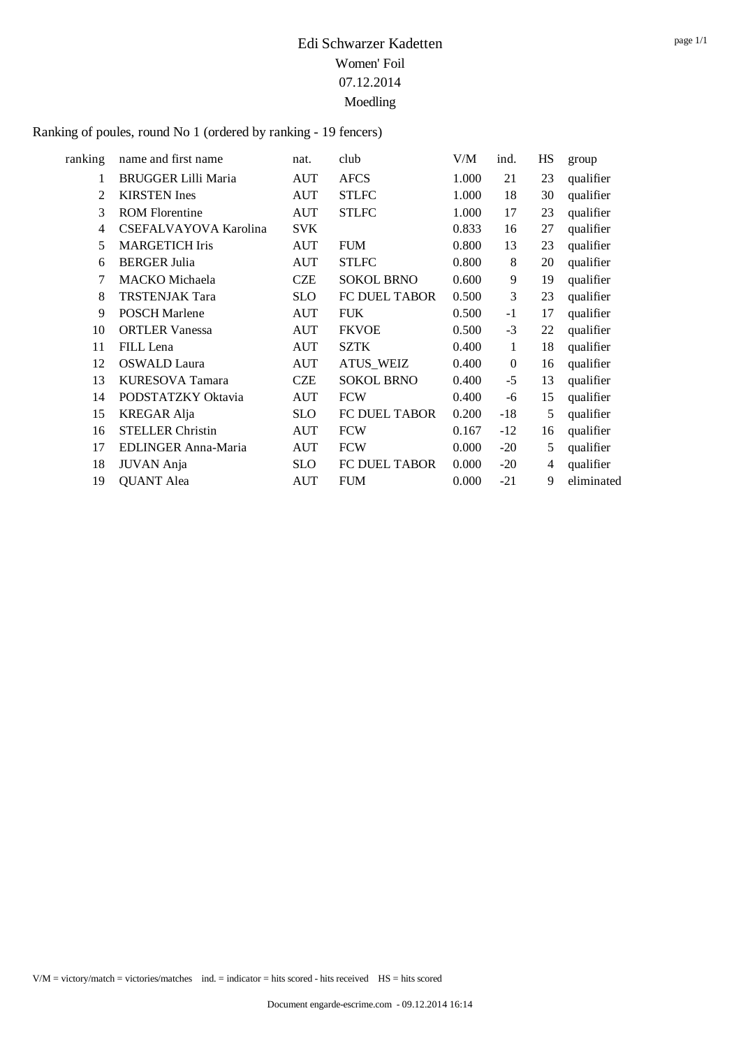Ranking of poules, round No 1 (ordered by ranking - 19 fencers)

| ranking | name and first name        | nat.       | club                 | V/M   | ind.         | HS | group      |
|---------|----------------------------|------------|----------------------|-------|--------------|----|------------|
| 1       | <b>BRUGGER Lilli Maria</b> | AUT        | <b>AFCS</b>          | 1.000 | 21           | 23 | qualifier  |
| 2       | <b>KIRSTEN</b> Ines        | <b>AUT</b> | <b>STLFC</b>         | 1.000 | 18           | 30 | qualifier  |
| 3       | <b>ROM Florentine</b>      | <b>AUT</b> | <b>STLFC</b>         | 1.000 | 17           | 23 | qualifier  |
| 4       | CSEFALVAYOVA Karolina      | <b>SVK</b> |                      | 0.833 | 16           | 27 | qualifier  |
| 5       | <b>MARGETICH Iris</b>      | <b>AUT</b> | <b>FUM</b>           | 0.800 | 13           | 23 | qualifier  |
| 6       | <b>BERGER Julia</b>        | <b>AUT</b> | <b>STLFC</b>         | 0.800 | 8            | 20 | qualifier  |
| 7       | <b>MACKO</b> Michaela      | CZE        | <b>SOKOL BRNO</b>    | 0.600 | 9            | 19 | qualifier  |
| 8       | <b>TRSTENJAK Tara</b>      | <b>SLO</b> | <b>FC DUEL TABOR</b> | 0.500 | 3            | 23 | qualifier  |
| 9       | <b>POSCH Marlene</b>       | <b>AUT</b> | <b>FUK</b>           | 0.500 | $-1$         | 17 | qualifier  |
| 10      | <b>ORTLER Vanessa</b>      | <b>AUT</b> | <b>FKVOE</b>         | 0.500 | $-3$         | 22 | qualifier  |
| 11      | FILL Lena                  | <b>AUT</b> | <b>SZTK</b>          | 0.400 | 1            | 18 | qualifier  |
| 12      | <b>OSWALD</b> Laura        | AUT        | <b>ATUS_WEIZ</b>     | 0.400 | $\mathbf{0}$ | 16 | qualifier  |
| 13      | <b>KURESOVA Tamara</b>     | CZE        | <b>SOKOL BRNO</b>    | 0.400 | $-5$         | 13 | qualifier  |
| 14      | PODSTATZKY Oktavia         | AUT        | <b>FCW</b>           | 0.400 | -6           | 15 | qualifier  |
| 15      | <b>KREGAR Alja</b>         | <b>SLO</b> | FC DUEL TABOR        | 0.200 | $-18$        | 5  | qualifier  |
| 16      | <b>STELLER Christin</b>    | <b>AUT</b> | <b>FCW</b>           | 0.167 | $-12$        | 16 | qualifier  |
| 17      | <b>EDLINGER Anna-Maria</b> | <b>AUT</b> | <b>FCW</b>           | 0.000 | $-20$        | 5  | qualifier  |
| 18      | JUVAN Anja                 | <b>SLO</b> | FC DUEL TABOR        | 0.000 | $-20$        | 4  | qualifier  |
| 19      | <b>QUANT</b> Alea          | AUT        | <b>FUM</b>           | 0.000 | $-21$        | 9  | eliminated |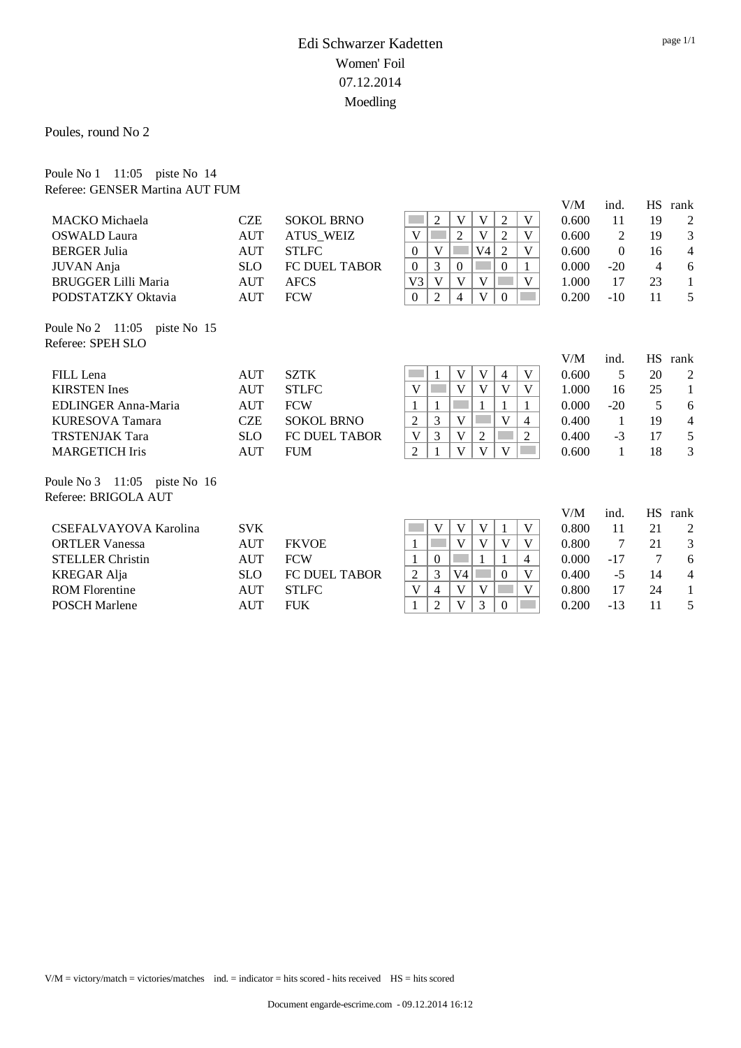Poules, round No 2

Poule No 1 11:05 piste No 14 Referee: GENSER Martina AUT FUM

|                                 |            |                      |                                                                | V/M   | ind.     | <b>HS</b>      | rank           |
|---------------------------------|------------|----------------------|----------------------------------------------------------------|-------|----------|----------------|----------------|
| <b>MACKO</b> Michaela           | <b>CZE</b> | <b>SOKOL BRNO</b>    | $\overline{2}$<br>V<br>V<br>$\overline{2}$<br>V                | 0.600 | 11       | 19             | $\overline{c}$ |
| <b>OSWALD</b> Laura             | <b>AUT</b> | <b>ATUS_WEIZ</b>     | $\overline{c}$<br>$\overline{2}$<br>V<br>V<br>V                | 0.600 | 2        | 19             | 3              |
| <b>BERGER Julia</b>             | <b>AUT</b> | <b>STLFC</b>         | V<br>2<br>$\mathbf{V}$<br>$\mathbf{0}$<br>V <sub>4</sub>       | 0.600 | $\theta$ | 16             | 4              |
| JUVAN Anja                      | <b>SLO</b> | FC DUEL TABOR        | $\mathbf{0}$<br>3<br>$\overline{0}$<br>$\overline{0}$          | 0.000 | $-20$    | $\overline{4}$ | 6              |
| <b>BRUGGER Lilli Maria</b>      | <b>AUT</b> | <b>AFCS</b>          | V<br>V<br>V<br>V <sub>3</sub><br>V                             | 1.000 | 17       | 23             | $\mathbf{1}$   |
| PODSTATZKY Oktavia              | <b>AUT</b> | <b>FCW</b>           | $\overline{2}$<br>$\boldsymbol{0}$<br>V<br>4<br>$\overline{0}$ | 0.200 | $-10$    | 11             | 5              |
| Poule No 2 11:05<br>piste No 15 |            |                      |                                                                |       |          |                |                |
| Referee: SPEH SLO               |            |                      |                                                                |       |          |                |                |
|                                 |            |                      |                                                                | V/M   | ind.     | <b>HS</b>      | rank           |
| FILL Lena                       | <b>AUT</b> | <b>SZTK</b>          | V<br>V<br>V<br>4<br>1                                          | 0.600 | 5        | 20             | 2              |
| <b>KIRSTEN</b> Ines             | AUT        | <b>STLFC</b>         | V<br>V<br>V<br>V<br>V                                          | 1.000 | 16       | 25             | 1              |
| <b>EDLINGER Anna-Maria</b>      | <b>AUT</b> | <b>FCW</b>           | 1<br>1                                                         | 0.000 | $-20$    | 5              | 6              |
| <b>KURESOVA Tamara</b>          | <b>CZE</b> | <b>SOKOL BRNO</b>    | 3<br>$\overline{V}$<br>V<br>$\overline{2}$<br>4                | 0.400 | 1        | 19             | 4              |
| <b>TRSTENJAK Tara</b>           | <b>SLO</b> | <b>FC DUEL TABOR</b> | V<br>V<br>3<br>$\overline{2}$<br>$\overline{2}$                | 0.400 | $-3$     | 17             | 5              |
| <b>MARGETICH Iris</b>           | <b>AUT</b> | <b>FUM</b>           | V<br>$\mathbf{V}$<br>V<br>2                                    | 0.600 | 1        | 18             | 3              |
| Poule No 3 11:05 piste No 16    |            |                      |                                                                |       |          |                |                |
| Referee: BRIGOLA AUT            |            |                      |                                                                |       |          |                |                |
|                                 |            |                      |                                                                | V/M   | ind.     | <b>HS</b>      | rank           |
| CSEFALVAYOVA Karolina           | <b>SVK</b> |                      | V<br>V<br>V<br>V<br>1                                          | 0.800 | 11       | 21             | $\overline{c}$ |
| <b>ORTLER Vanessa</b>           | <b>AUT</b> | <b>FKVOE</b>         | V<br>V<br>V<br>V<br>$\mathbf{1}$                               | 0.800 | 7        | 21             | 3              |
| <b>STELLER Christin</b>         | AUT        | <b>FCW</b>           | $\mathbf{1}$<br>4<br>$\mathbf{0}$<br>1<br>1                    | 0.000 | $-17$    | 7              | 6              |
| <b>KREGAR Alja</b>              | <b>SLO</b> | FC DUEL TABOR        | 3<br>V4<br>V<br>$\overline{2}$<br>$\theta$                     | 0.400 | $-5$     | 14             | 4              |
| <b>ROM Florentine</b>           | <b>AUT</b> | <b>STLFC</b>         | 4<br>V<br>V<br>V<br>V                                          | 0.800 | 17       | 24             | $\mathbf{1}$   |
| <b>POSCH Marlene</b>            | <b>AUT</b> | <b>FUK</b>           | V<br>3<br>2<br>1<br>$\theta$                                   | 0.200 | $-13$    | 11             | 5              |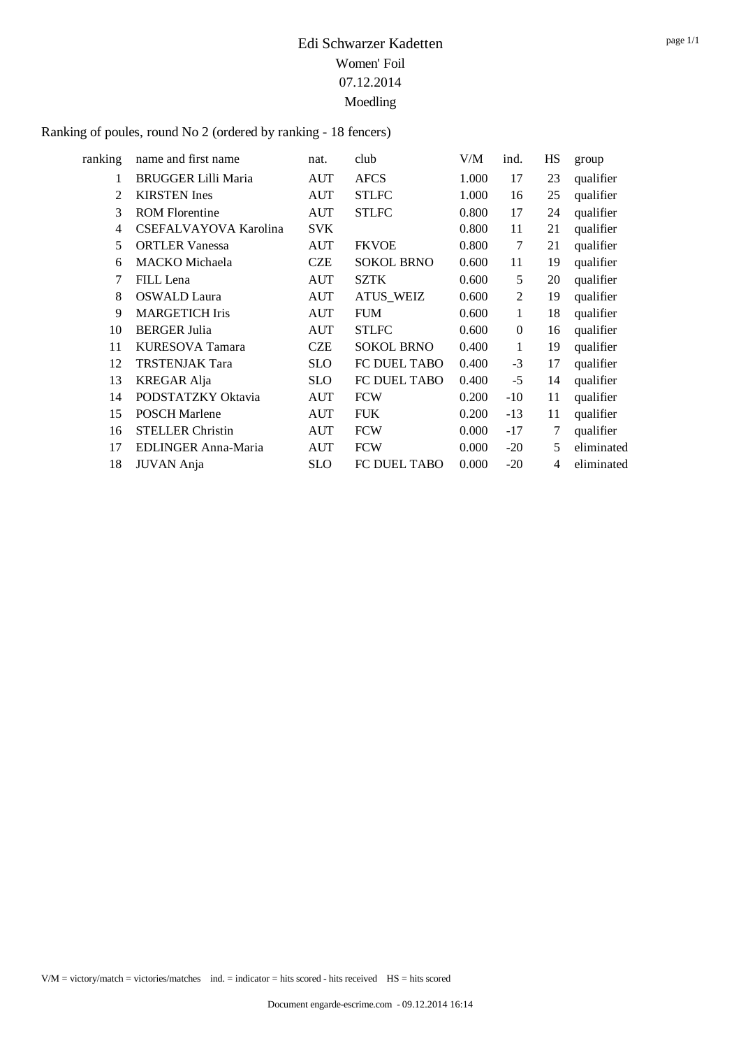| ranking        | name and first name        | nat.       | club              | V/M   | ind.           | HS | group      |
|----------------|----------------------------|------------|-------------------|-------|----------------|----|------------|
| 1              | <b>BRUGGER Lilli Maria</b> | AUT        | <b>AFCS</b>       | 1.000 | 17             | 23 | qualifier  |
| 2              | <b>KIRSTEN</b> Ines        | <b>AUT</b> | <b>STLFC</b>      | 1.000 | 16             | 25 | qualifier  |
| 3              | <b>ROM</b> Florentine      | <b>AUT</b> | <b>STLFC</b>      | 0.800 | 17             | 24 | qualifier  |
| $\overline{4}$ | CSEFALVAYOVA Karolina      | SVK.       |                   | 0.800 | 11             | 21 | qualifier  |
| 5              | <b>ORTLER Vanessa</b>      | <b>AUT</b> | <b>FKVOE</b>      | 0.800 | 7              | 21 | qualifier  |
| 6              | <b>MACKO</b> Michaela      | <b>CZE</b> | <b>SOKOL BRNO</b> | 0.600 | 11             | 19 | qualifier  |
| 7              | FILL Lena                  | <b>AUT</b> | <b>SZTK</b>       | 0.600 | 5              | 20 | qualifier  |
| 8              | <b>OSWALD</b> Laura        | <b>AUT</b> | <b>ATUS_WEIZ</b>  | 0.600 | $\overline{2}$ | 19 | qualifier  |
| 9              | <b>MARGETICH Iris</b>      | AUT        | <b>FUM</b>        | 0.600 | 1              | 18 | qualifier  |
| 10             | <b>BERGER Julia</b>        | <b>AUT</b> | <b>STLFC</b>      | 0.600 | $\overline{0}$ | 16 | qualifier  |
| 11             | KURESOVA Tamara            | <b>CZE</b> | <b>SOKOL BRNO</b> | 0.400 | 1              | 19 | qualifier  |
| 12             | <b>TRSTENJAK Tara</b>      | <b>SLO</b> | FC DUEL TABO      | 0.400 | $-3$           | 17 | qualifier  |
| 13             | <b>KREGAR Alja</b>         | SLO        | FC DUEL TABO      | 0.400 | $-5$           | 14 | qualifier  |
| 14             | PODSTATZKY Oktavia         | <b>AUT</b> | <b>FCW</b>        | 0.200 | $-10$          | 11 | qualifier  |
| 15             | <b>POSCH Marlene</b>       | <b>AUT</b> | <b>FUK</b>        | 0.200 | $-13$          | 11 | qualifier  |
| 16             | <b>STELLER Christin</b>    | <b>AUT</b> | <b>FCW</b>        | 0.000 | $-17$          | 7  | qualifier  |
| 17             | EDLINGER Anna-Maria        | AUT        | <b>FCW</b>        | 0.000 | $-20$          | 5  | eliminated |
| 18             | <b>JUVAN</b> Anja          | SLO        | FC DUEL TABO      | 0.000 | $-20$          | 4  | eliminated |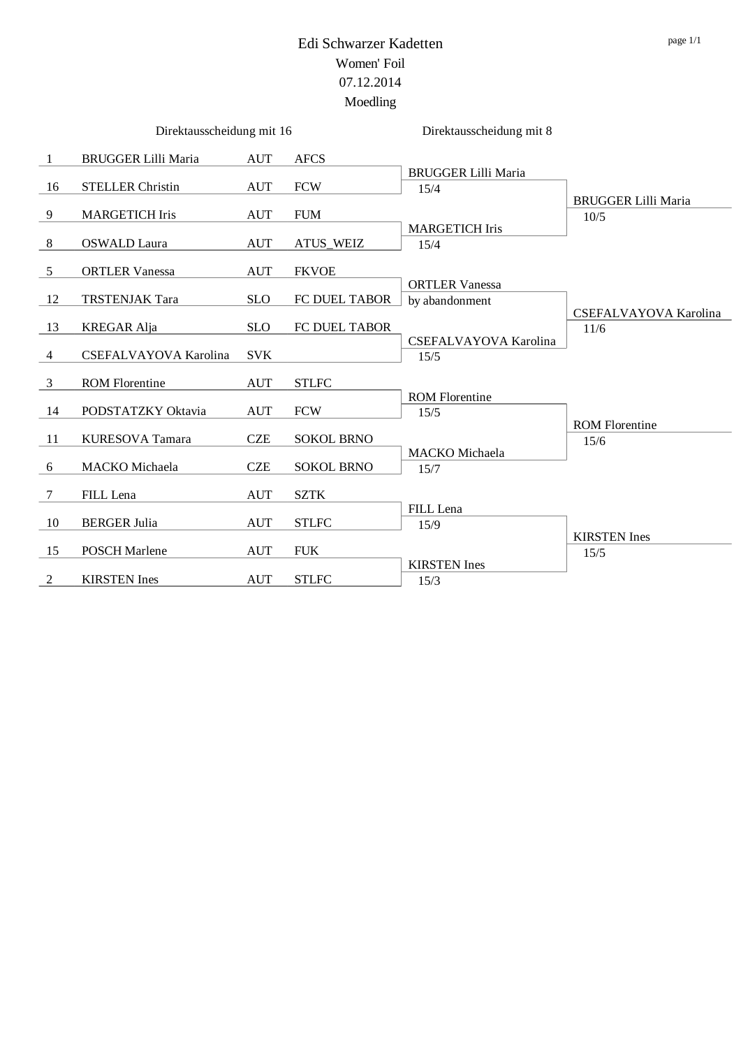|                | Direktausscheidung mit 16  |            |                   | Direktausscheidung mit 8                |                               |
|----------------|----------------------------|------------|-------------------|-----------------------------------------|-------------------------------|
| -1             | <b>BRUGGER Lilli Maria</b> | <b>AUT</b> | <b>AFCS</b>       |                                         |                               |
| 16             | <b>STELLER Christin</b>    | <b>AUT</b> | <b>FCW</b>        | <b>BRUGGER Lilli Maria</b><br>15/4      | <b>BRUGGER Lilli Maria</b>    |
| 9              | <b>MARGETICH Iris</b>      | <b>AUT</b> | <b>FUM</b>        |                                         | 10/5                          |
| $\,8\,$        | OSWALD Laura               | <b>AUT</b> | <b>ATUS_WEIZ</b>  | <b>MARGETICH Iris</b><br>15/4           |                               |
| 5              | <b>ORTLER Vanessa</b>      | <b>AUT</b> | <b>FKVOE</b>      |                                         |                               |
| 12             | <b>TRSTENJAK Tara</b>      | <b>SLO</b> | FC DUEL TABOR     | <b>ORTLER Vanessa</b><br>by abandonment |                               |
| 13             | <b>KREGAR Alja</b>         | <b>SLO</b> | FC DUEL TABOR     |                                         | CSEFALVAYOVA Karolina<br>11/6 |
| $\overline{4}$ | CSEFALVAYOVA Karolina      | <b>SVK</b> |                   | CSEFALVAYOVA Karolina<br>15/5           |                               |
| 3              | <b>ROM Florentine</b>      | <b>AUT</b> | <b>STLFC</b>      |                                         |                               |
| 14             | PODSTATZKY Oktavia         | <b>AUT</b> | <b>FCW</b>        | <b>ROM Florentine</b><br>15/5           |                               |
| 11             | KURESOVA Tamara            | <b>CZE</b> | <b>SOKOL BRNO</b> |                                         | <b>ROM Florentine</b><br>15/6 |
| 6              | <b>MACKO</b> Michaela      | <b>CZE</b> | <b>SOKOL BRNO</b> | <b>MACKO</b> Michaela<br>15/7           |                               |
| 7              | FILL Lena                  | <b>AUT</b> | <b>SZTK</b>       |                                         |                               |
| 10             | <b>BERGER Julia</b>        | <b>AUT</b> | <b>STLFC</b>      | FILL Lena<br>15/9                       | <b>KIRSTEN</b> Ines           |
| 15             | <b>POSCH Marlene</b>       | <b>AUT</b> | <b>FUK</b>        |                                         | 15/5                          |
| $\overline{2}$ | <b>KIRSTEN</b> Ines        | <b>AUT</b> | <b>STLFC</b>      | <b>KIRSTEN</b> Ines<br>15/3             |                               |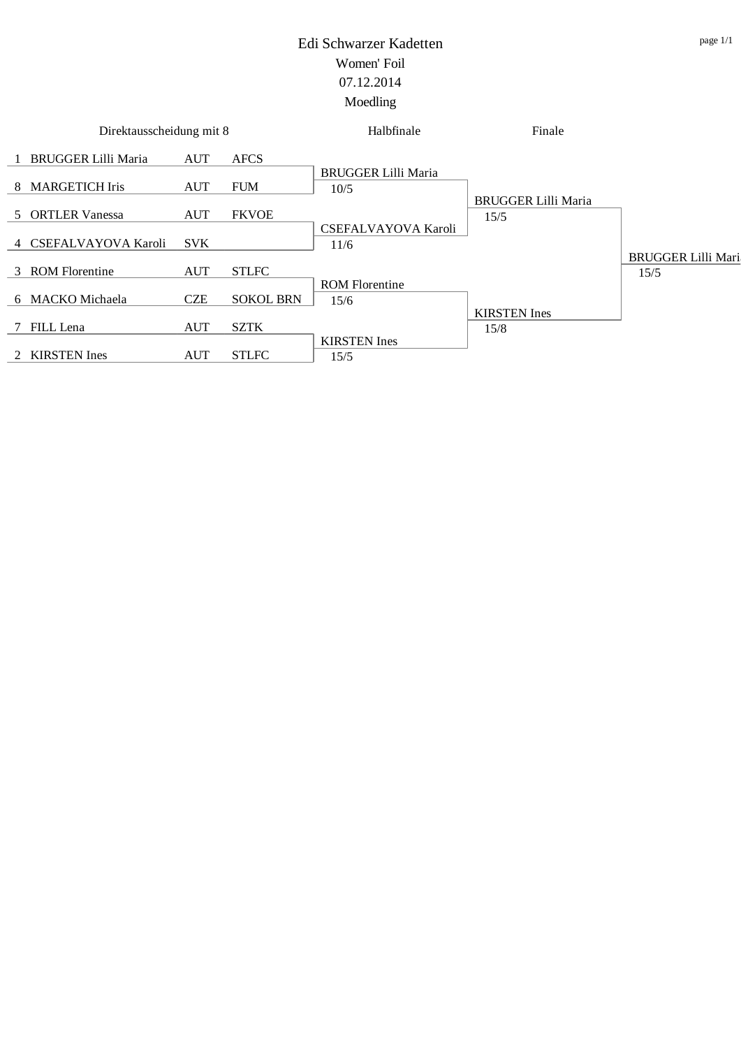| Direktausscheidung mit 8   |            |                  | Halbfinale                         | Finale                             |                           |
|----------------------------|------------|------------------|------------------------------------|------------------------------------|---------------------------|
| <b>BRUGGER Lilli Maria</b> | <b>AUT</b> | <b>AFCS</b>      |                                    |                                    |                           |
| <b>MARGETICH Iris</b><br>8 | AUT        | <b>FUM</b>       | <b>BRUGGER Lilli Maria</b><br>10/5 |                                    |                           |
| 5 ORTLER Vanessa           | AUT        | <b>FKVOE</b>     |                                    | <b>BRUGGER Lilli Maria</b><br>15/5 |                           |
| 4 CSEFALVAYOVA Karoli      | <b>SVK</b> |                  | CSEFALVAYOVA Karoli                |                                    |                           |
|                            |            |                  | 11/6                               |                                    | <b>BRUGGER Lilli Mari</b> |
| 3 ROM Florentine           | <b>AUT</b> | <b>STLFC</b>     | <b>ROM</b> Florentine              |                                    | 15/5                      |
| 6 MACKO Michaela           | <b>CZE</b> | <b>SOKOL BRN</b> | 15/6                               | <b>KIRSTEN</b> Ines                |                           |
| FILL Lena                  | <b>AUT</b> | <b>SZTK</b>      |                                    | 15/8                               |                           |
| 2 KIRSTEN Ines             | <b>AUT</b> | <b>STLFC</b>     | <b>KIRSTEN</b> Ines<br>15/5        |                                    |                           |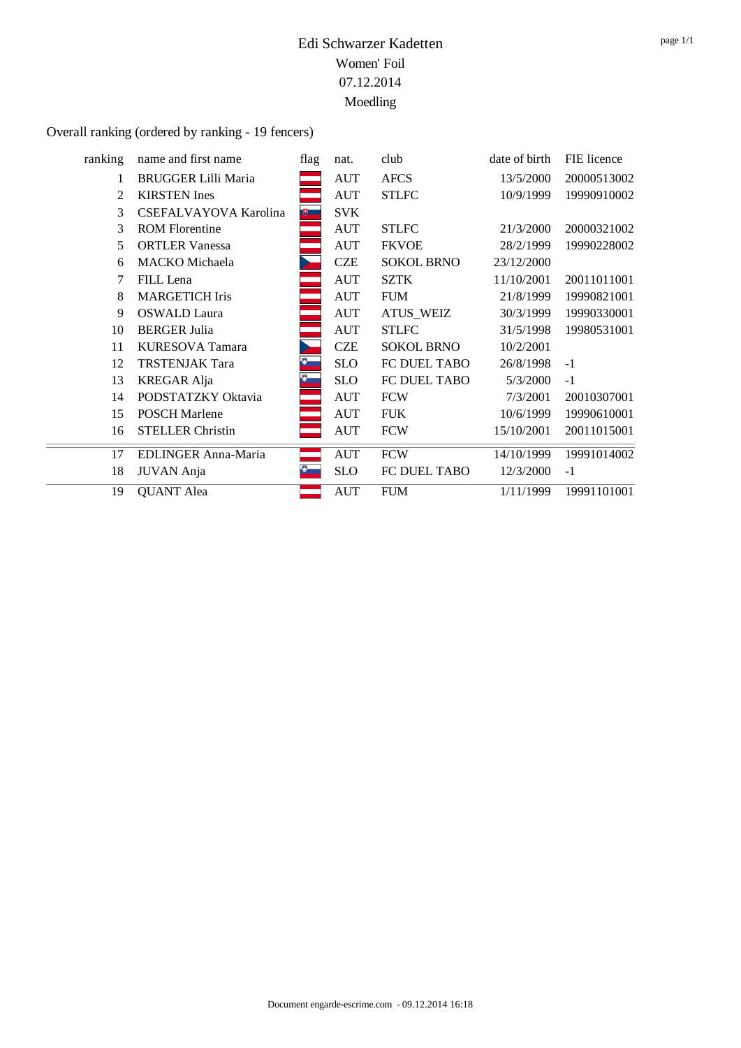### Overall ranking (ordered by ranking - 19 fencers)

| ranking | name and first name        | flag | nat.       | club              | date of birth | FIE licence |
|---------|----------------------------|------|------------|-------------------|---------------|-------------|
| 1       | <b>BRUGGER Lilli Maria</b> |      | <b>AUT</b> | <b>AFCS</b>       | 13/5/2000     | 20000513002 |
| 2       | <b>KIRSTEN</b> Ines        |      | <b>AUT</b> | <b>STLFC</b>      | 10/9/1999     | 19990910002 |
| 3       | CSEFALVAYOVA Karolina      | 19—1 | <b>SVK</b> |                   |               |             |
| 3       | <b>ROM Florentine</b>      |      | <b>AUT</b> | <b>STLFC</b>      | 21/3/2000     | 20000321002 |
| 5       | <b>ORTLER Vanessa</b>      |      | <b>AUT</b> | <b>FKVOE</b>      | 28/2/1999     | 19990228002 |
| 6       | MACKO Michaela             |      | <b>CZE</b> | <b>SOKOL BRNO</b> | 23/12/2000    |             |
| 7       | FILL Lena                  |      | <b>AUT</b> | <b>SZTK</b>       | 11/10/2001    | 20011011001 |
| 8       | <b>MARGETICH Iris</b>      |      | <b>AUT</b> | <b>FUM</b>        | 21/8/1999     | 19990821001 |
| 9       | <b>OSWALD</b> Laura        |      | <b>AUT</b> | <b>ATUS_WEIZ</b>  | 30/3/1999     | 19990330001 |
| 10      | <b>BERGER Julia</b>        |      | <b>AUT</b> | <b>STLFC</b>      | 31/5/1998     | 19980531001 |
| 11      | <b>KURESOVA Tamara</b>     |      | <b>CZE</b> | <b>SOKOL BRNO</b> | 10/2/2001     |             |
| 12      | <b>TRSTENJAK Tara</b>      |      | <b>SLO</b> | FC DUEL TABO      | 26/8/1998     | $-1$        |
| 13      | <b>KREGAR Alja</b>         |      | <b>SLO</b> | FC DUEL TABO      | 5/3/2000      | $-1$        |
| 14      | PODSTATZKY Oktavia         |      | <b>AUT</b> | <b>FCW</b>        | 7/3/2001      | 20010307001 |
| 15      | <b>POSCH Marlene</b>       |      | <b>AUT</b> | <b>FUK</b>        | 10/6/1999     | 19990610001 |
| 16      | <b>STELLER Christin</b>    |      | <b>AUT</b> | <b>FCW</b>        | 15/10/2001    | 20011015001 |
| 17      | <b>EDLINGER Anna-Maria</b> |      | <b>AUT</b> | <b>FCW</b>        | 14/10/1999    | 19991014002 |
| 18      | JUVAN Anja                 |      | <b>SLO</b> | FC DUEL TABO      | 12/3/2000     | $-1$        |
| 19      | <b>QUANT</b> Alea          |      | <b>AUT</b> | <b>FUM</b>        | 1/11/1999     | 19991101001 |